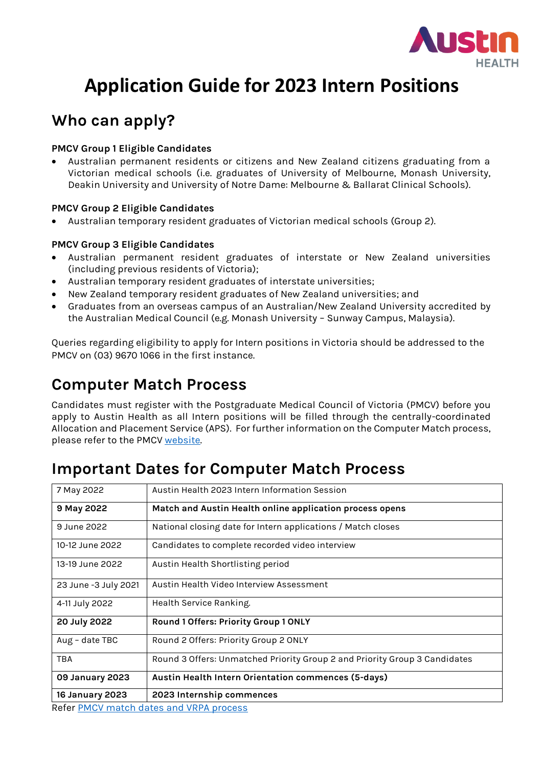

## **Who can apply?**

### **PMCV Group 1 Eligible Candidates**

• Australian permanent residents or citizens and New Zealand citizens graduating from a Victorian medical schools (i.e. graduates of University of Melbourne, Monash University, Deakin University and University of Notre Dame: Melbourne & Ballarat Clinical Schools).

### **PMCV Group 2 Eligible Candidates**

• Australian temporary resident graduates of Victorian medical schools (Group 2).

### **PMCV Group 3 Eligible Candidates**

- Australian permanent resident graduates of interstate or New Zealand universities (including previous residents of Victoria);
- Australian temporary resident graduates of interstate universities;
- New Zealand temporary resident graduates of New Zealand universities; and
- Graduates from an overseas campus of an Australian/New Zealand University accredited by the Australian Medical Council (e.g. Monash University – Sunway Campus, Malaysia).

Queries regarding eligibility to apply for Intern positions in Victoria should be addressed to the PMCV on (03) 9670 1066 in the first instance.

### **Computer Match Process**

Candidates must register with the Postgraduate Medical Council of Victoria (PMCV) before you apply to Austin Health as all Intern positions will be filled through the centrally-coordinated Allocation and Placement Service (APS). For further information on the Computer Match process, please refer to the PMCV [website.](https://allocations.pmcv.com.au/home)

### **Important Dates for Computer Match Process**

| 7 May 2022             | Austin Health 2023 Intern Information Session                                                           |  |  |  |  |  |  |
|------------------------|---------------------------------------------------------------------------------------------------------|--|--|--|--|--|--|
| 9 May 2022             | Match and Austin Health online application process opens                                                |  |  |  |  |  |  |
| 9 June 2022            | National closing date for Intern applications / Match closes                                            |  |  |  |  |  |  |
| 10-12 June 2022        | Candidates to complete recorded video interview                                                         |  |  |  |  |  |  |
| 13-19 June 2022        | Austin Health Shortlisting period                                                                       |  |  |  |  |  |  |
| 23 June -3 July 2021   | Austin Health Video Interview Assessment                                                                |  |  |  |  |  |  |
| 4-11 July 2022         | Health Service Ranking.                                                                                 |  |  |  |  |  |  |
| 20 July 2022           | Round 1 Offers: Priority Group 1 ONLY                                                                   |  |  |  |  |  |  |
| Aug - date TBC         | Round 2 Offers: Priority Group 2 ONLY                                                                   |  |  |  |  |  |  |
| <b>TBA</b>             | Round 3 Offers: Unmatched Priority Group 2 and Priority Group 3 Candidates                              |  |  |  |  |  |  |
| 09 January 2023        | Austin Health Intern Orientation commences (5-days)                                                     |  |  |  |  |  |  |
| <b>16 January 2023</b> | 2023 Internship commences<br>$D = 6 \times D = 100$ $\mu$ and $L = 100$ and $\mu$ $D = 0$ and $L = 0$ . |  |  |  |  |  |  |

Refer [PMCV match dates and VRPA process](https://www.pmcv.com.au/intern-match-2022/)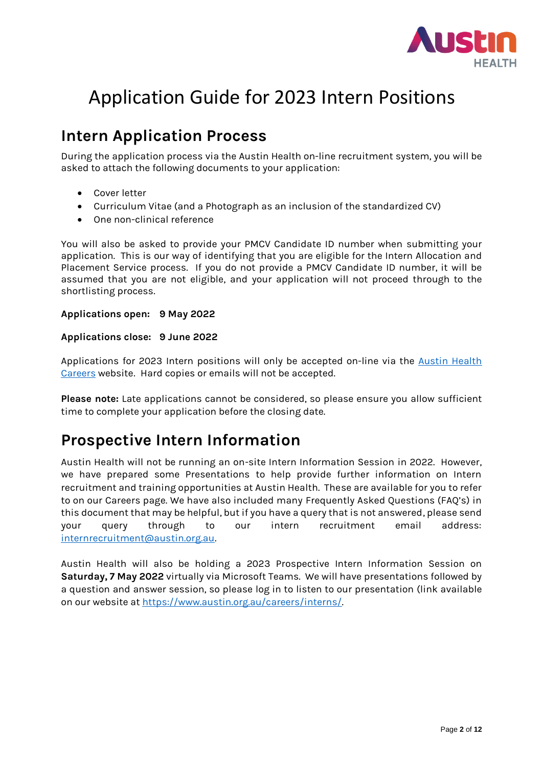

### **Intern Application Process**

During the application process via the Austin Health on-line recruitment system, you will be asked to attach the following documents to your application:

- Cover letter
- Curriculum Vitae (and a Photograph as an inclusion of the standardized CV)
- One non-clinical reference

You will also be asked to provide your PMCV Candidate ID number when submitting your application. This is our way of identifying that you are eligible for the Intern Allocation and Placement Service process. If you do not provide a PMCV Candidate ID number, it will be assumed that you are not eligible, and your application will not proceed through to the shortlisting process.

### **Applications open: 9 May 2022**

### **Applications close: 9 June 2022**

Applications for 2023 Intern positions will only be accepted on-line via the Austin Health [Careers](https://austinhealth.mercury.com.au/) website. Hard copies or emails will not be accepted.

**Please note:** Late applications cannot be considered, so please ensure you allow sufficient time to complete your application before the closing date.

### **Prospective Intern Information**

Austin Health will not be running an on-site Intern Information Session in 2022. However, we have prepared some Presentations to help provide further information on Intern recruitment and training opportunities at Austin Health. These are available for you to refer to on our Careers page. We have also included many Frequently Asked Questions (FAQ's) in this document that may be helpful, but if you have a query that is not answered, please send your query through to our intern recruitment email address: [internrecruitment@austin.org.au.](mailto:internrecruitment@austin.org.au) 

Austin Health will also be holding a 2023 Prospective Intern Information Session on **Saturday, 7 May 2022** virtually via Microsoft Teams. We will have presentations followed by a question and answer session, so please log in to listen to our presentation (link available on our website at [https://www.austin.org.au/careers/interns/.](https://www.austin.org.au/careers/interns/)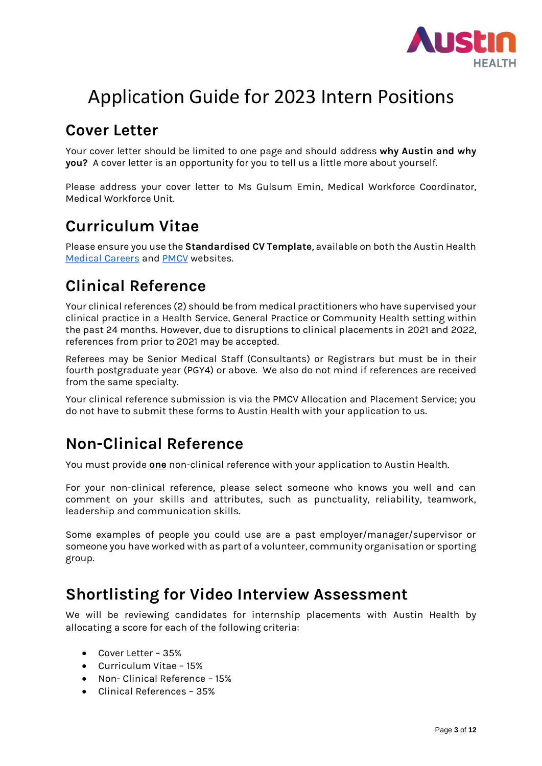

### **Cover Letter**

Your cover letter should be limited to one page and should address **why Austin and why you?** A cover letter is an opportunity for you to tell us a little more about yourself.

Please address your cover letter to Ms Gulsum Emin, Medical Workforce Coordinator, Medical Workforce Unit.

### **Curriculum Vitae**

Please ensure you use the **Standardised CV Template**, available on both the Austin Health [Medical Careers](https://austinhealth.mercury.com.au/) and [PMCV](https://www.pmcv.com.au/intern-match-2022/) websites.

### **Clinical Reference**

Your clinical references (2) should be from medical practitioners who have supervised your clinical practice in a Health Service, General Practice or Community Health setting within the past 24 months. However, due to disruptions to clinical placements in 2021 and 2022, references from prior to 2021 may be accepted.

Referees may be Senior Medical Staff (Consultants) or Registrars but must be in their fourth postgraduate year (PGY4) or above. We also do not mind if references are received from the same specialty.

Your clinical reference submission is via the PMCV Allocation and Placement Service; you do not have to submit these forms to Austin Health with your application to us.

## **Non-Clinical Reference**

You must provide **one** non-clinical reference with your application to Austin Health.

For your non-clinical reference, please select someone who knows you well and can comment on your skills and attributes, such as punctuality, reliability, teamwork, leadership and communication skills.

Some examples of people you could use are a past employer/manager/supervisor or someone you have worked with as part of a volunteer, community organisation or sporting group.

### **Shortlisting for Video Interview Assessment**

We will be reviewing candidates for internship placements with Austin Health by allocating a score for each of the following criteria:

- Cover Letter 35%
- Curriculum Vitae 15%
- Non- Clinical Reference 15%
- Clinical References 35%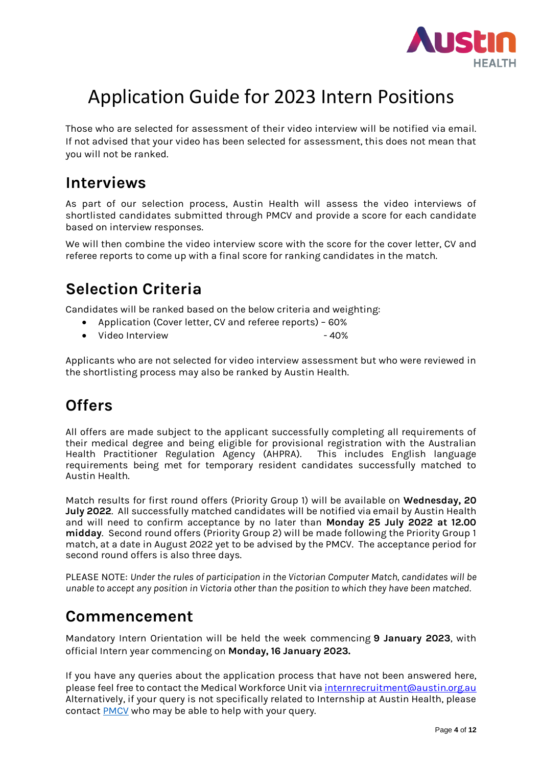

Those who are selected for assessment of their video interview will be notified via email. If not advised that your video has been selected for assessment, this does not mean that you will not be ranked.

### **Interviews**

As part of our selection process, Austin Health will assess the video interviews of shortlisted candidates submitted through PMCV and provide a score for each candidate based on interview responses.

We will then combine the video interview score with the score for the cover letter, CV and referee reports to come up with a final score for ranking candidates in the match.

## **Selection Criteria**

Candidates will be ranked based on the below criteria and weighting:

- Application (Cover letter, CV and referee reports) 60%
- Video Interview 40%

Applicants who are not selected for video interview assessment but who were reviewed in the shortlisting process may also be ranked by Austin Health.

### **Offers**

All offers are made subject to the applicant successfully completing all requirements of their medical degree and being eligible for provisional registration with the Australian Health Practitioner Regulation Agency (AHPRA). This includes English language requirements being met for temporary resident candidates successfully matched to Austin Health.

Match results for first round offers (Priority Group 1) will be available on **Wednesday, 20 July 2022**. All successfully matched candidates will be notified via email by Austin Health and will need to confirm acceptance by no later than **Monday 25 July 2022 at 12.00 midday**. Second round offers (Priority Group 2) will be made following the Priority Group 1 match, at a date in August 2022 yet to be advised by the PMCV. The acceptance period for second round offers is also three days.

PLEASE NOTE: *Under the rules of participation in the Victorian Computer Match, candidates will be unable to accept any position in Victoria other than the position to which they have been matched.*

### **Commencement**

Mandatory Intern Orientation will be held the week commencing **9 January 2023**, with official Intern year commencing on **Monday, 16 January 2023.**

If you have any queries about the application process that have not been answered here, please feel free to contact the Medical Workforce Unit vi[a internrecruitment@austin.org.au](mailto:internrecruitment@austin.org.au) Alternatively, if your query is not specifically related to Internship at Austin Health, please contact [PMCV](https://allocations.pmcv.com.au/help) who may be able to help with your query.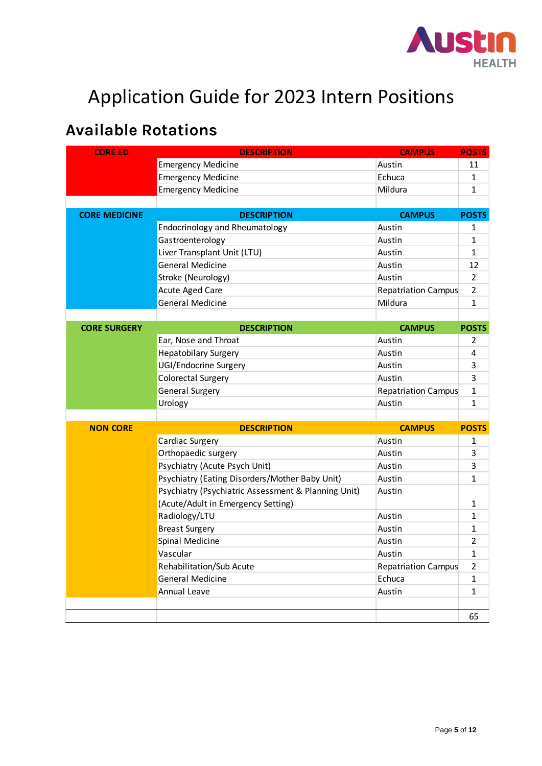

## **Available Rotations**

| <b>CORE ED</b>       | <b>DESCRIPTION</b>                                  | <b>CAMPUS</b>              | <b>POSTS</b>   |
|----------------------|-----------------------------------------------------|----------------------------|----------------|
|                      | <b>Emergency Medicine</b>                           | Austin                     | 11             |
|                      | <b>Emergency Medicine</b>                           | Echuca                     | 1              |
|                      | <b>Emergency Medicine</b>                           | Mildura                    | $\mathbf{1}$   |
|                      |                                                     |                            |                |
| <b>CORE MEDICINE</b> | <b>DESCRIPTION</b>                                  | <b>CAMPUS</b>              | <b>POSTS</b>   |
|                      | <b>Endocrinology and Rheumatology</b>               | Austin                     | 1              |
|                      | Gastroenterology                                    | Austin                     | $\mathbf{1}$   |
|                      | Liver Transplant Unit (LTU)                         | Austin                     | $\mathbf{1}$   |
|                      | <b>General Medicine</b>                             | Austin                     | 12             |
|                      | Stroke (Neurology)                                  | Austin                     | $\overline{2}$ |
|                      | Acute Aged Care                                     | <b>Repatriation Campus</b> | $\overline{2}$ |
|                      | <b>General Medicine</b>                             | Mildura                    | $\mathbf{1}$   |
|                      |                                                     |                            |                |
| <b>CORE SURGERY</b>  | <b>DESCRIPTION</b>                                  | <b>CAMPUS</b>              | <b>POSTS</b>   |
|                      | Ear, Nose and Throat                                | Austin                     | 2              |
|                      | <b>Hepatobilary Surgery</b>                         | Austin                     | 4              |
|                      | UGI/Endocrine Surgery                               | Austin                     | 3              |
|                      | Colorectal Surgery                                  | Austin                     | 3              |
|                      | General Surgery                                     | <b>Repatriation Campus</b> | $\mathbf{1}$   |
|                      | Urology                                             | Austin                     | $\mathbf{1}$   |
|                      |                                                     |                            |                |
| <b>NON CORE</b>      | <b>DESCRIPTION</b>                                  | <b>CAMPUS</b>              | <b>POSTS</b>   |
|                      | Cardiac Surgery                                     | Austin                     | $\mathbf{1}$   |
|                      | Orthopaedic surgery                                 | Austin                     | 3              |
|                      | Psychiatry (Acute Psych Unit)                       | Austin                     | 3              |
|                      | Psychiatry (Eating Disorders/Mother Baby Unit)      | Austin                     | $\mathbf{1}$   |
|                      | Psychiatry (Psychiatric Assessment & Planning Unit) | Austin                     |                |
|                      | (Acute/Adult in Emergency Setting)                  |                            | $\mathbf{1}$   |
|                      | Radiology/LTU                                       | Austin                     | $\mathbf{1}$   |
|                      | <b>Breast Surgery</b>                               | Austin                     | $\mathbf{1}$   |
|                      | Spinal Medicine                                     | Austin                     | $\overline{2}$ |
|                      | Vascular                                            | Austin                     | $\mathbf 1$    |
|                      | Rehabilitation/Sub Acute                            | <b>Repatriation Campus</b> | $\overline{2}$ |
|                      | General Medicine                                    | Echuca                     | $\mathbf{1}$   |
|                      | Annual Leave                                        | Austin                     | $\mathbf{1}$   |
|                      |                                                     |                            |                |
|                      |                                                     |                            | 65             |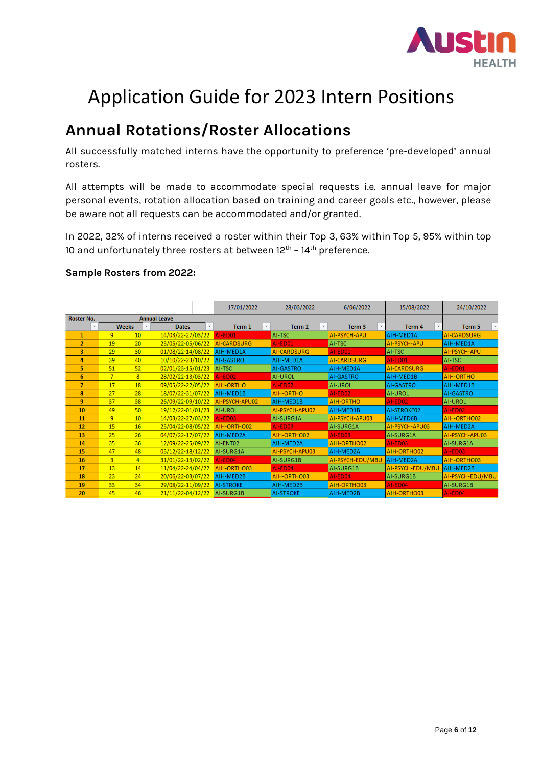

### **Annual Rotations/Roster Allocations**

All successfully matched interns have the opportunity to preference 'pre-developed' annual rosters.

All attempts will be made to accommodate special requests i.e. annual leave for major personal events, rotation allocation based on training and career goals etc., however, please be aware not all requests can be accommodated and/or granted.

In 2022, 32% of interns received a roster within their Top 3, 63% within Top 5, 95% within top 10 and unfortunately three rosters at between  $12<sup>th</sup>$  –  $14<sup>th</sup>$  preference.

### **Sample Rosters from 2022:**

|                |                     |                   |                   |                   |                   | 17/01/2022       |               | 28/03/2022     |   | 6/06/2022               | 15/08/2022       | 24/10/2022       |
|----------------|---------------------|-------------------|-------------------|-------------------|-------------------|------------------|---------------|----------------|---|-------------------------|------------------|------------------|
| Roster No.     | <b>Annual Leave</b> |                   |                   |                   |                   |                  |               |                |   |                         |                  |                  |
| ÷              |                     | <b>Weeks</b><br>÷ |                   | <b>Dates</b>      |                   | Term 1           | $\mathcal{P}$ | Term 2         | × | Term 3<br>$\mathcal{C}$ | Term 4<br>÷.     | Term 5           |
| 1              | 9                   | 10                |                   | 14/03/22-27/03/22 |                   | AI-ED01          |               | AI-TSC         |   | AI-PSYCH-APU            | AIH-MED1A        | AI-CARDSURG      |
| $\overline{2}$ | 19                  | 20                |                   | 23/05/22-05/06/22 |                   | AI-CARDSURG      |               | AI-ED01        |   | AI-TSC                  | AI-PSYCH-APU     | AIH-MED1A        |
| 3              | 29                  | 30                | 01/08/22-14/08/22 |                   |                   | AIH-MED1A        |               | AI-CARDSURG    |   | AI-ED01                 | AI-TSC           | AI-PSYCH-APU     |
| 4              | 39                  | 40                |                   | 10/10/22-23/10/22 |                   | AI-GASTRO        |               | AIH-MED1A      |   | AI-CARDSURG             | AI-ED01          | AI-TSC           |
| 5.             | 51                  | 52                | 02/01/23-15/01/23 |                   |                   | AI-TSC           |               | AI-GASTRO      |   | AIH-MED1A               | AI-CARDSURG      | AI-ED01          |
| 6              | $\overline{7}$      | 8                 |                   | 28/02/22-13/03/22 |                   | AI-ED02          |               | AI-UROL        |   | AI-GASTRO               | AIH-MED1B        | AIH-ORTHO        |
| $\overline{7}$ | 17                  | 18                | 09/05/22-22/05/22 |                   |                   | AIH-ORTHO        |               | AI-ED02        |   | AI-UROL                 | AI-GASTRO        | AIH-MED1B        |
| 8              | 27                  | 28                |                   | 18/07/22-31/07/22 |                   | AIH-MED1B        |               | AIH-ORTHO      |   | AI-ED02                 | AI-UROL          | AI-GASTRO        |
| 9              | 37                  | 38                |                   | 26/09/22-09/10/22 |                   | AI-PSYCH-APU02   |               | AIH-MED1B      |   | AIH-ORTHO               | AI-ED02          | AI-UROL          |
| 10             | 49                  | 50                |                   | 19/12/22-01/01/23 |                   | <b>AI-UROL</b>   |               | AI-PSYCH-APU02 |   | AIH-MED1B               | AI-STROKE02      | AI-ED02          |
| 11             | 9                   | 10                |                   | 14/03/22-27/03/22 |                   | AI-ED03          |               | AI-SURG1A      |   | AI-PSYCH-APU03          | AIH-MED6B        | AIH-ORTHO02      |
| 12             | 15                  | 16                | 25/04/22-08/05/22 |                   |                   | AIH-ORTHO02      |               | AI-ED03        |   | AI-SURG1A               | AI-PSYCH-APU03   | AIH-MED2A        |
| 13             | 25                  | 26                | 04/07/22-17/07/22 |                   |                   | AIH-MED2A        |               | AIH-ORTHO02    |   | AI-ED03                 | AI-SURG1A        | AI-PSYCH-APU03   |
| 14             | 35                  | 36                |                   | 12/09/22-25/09/22 |                   | AI-ENT02         |               | AIH-MED2A      |   | AIH-ORTHO02             | AI-ED03          | AI-SURG1A        |
| 15             | 47                  | 48                | 05/12/22-18/12/22 |                   |                   | AI-SURG1A        |               | AI-PSYCH-APU03 |   | AIH-MED2A               | AIH-ORTHO02      | AI-ED03          |
| 16             | 3                   | 4                 |                   |                   | 31/01/22-13/02/22 | AI-ED04          |               | AI-SURG1B      |   | AI-PSYCH-EDU/MBU        | AIH-MED2A        | AIH-ORTHO03      |
| 17             | 13                  | 14                |                   |                   | 11/04/22-24/04/22 | AIH-ORTHO03      |               | AI-ED04        |   | AI-SURG1B               | AI-PSYCH-EDU/MBU | AIH-MED2B        |
| 18             | 23                  | 24                |                   |                   | 20/06/22-03/07/22 | AIH-MED2B        |               | AIH-ORTHO03    |   | AI-ED04                 | AI-SURG1B        | AI-PSYCH-EDU/MBU |
| 19             | 33                  | 34                | 29/08/22-11/09/22 |                   |                   | <b>AI-STROKE</b> |               | AIH-MED2B      |   | AIH-ORTHO03             | AI-ED04          | AI-SURG1B        |
| 20             | 45                  | 46                | 21/11/22-04/12/22 |                   |                   | AI-SURG1B        |               | AI-STROKE      |   | AIH-MED2B               | AIH-ORTHO03      | AI-ED04          |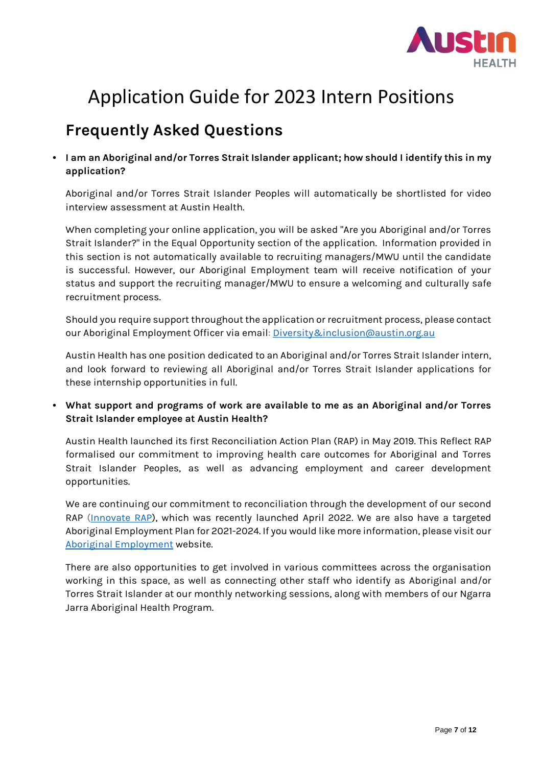

## **Frequently Asked Questions**

**• I am an Aboriginal and/or Torres Strait Islander applicant; how should I identify this in my application?**

Aboriginal and/or Torres Strait Islander Peoples will automatically be shortlisted for video interview assessment at Austin Health.

When completing your online application, you will be asked "Are you Aboriginal and/or Torres Strait Islander?" in the Equal Opportunity section of the application. Information provided in this section is not automatically available to recruiting managers/MWU until the candidate is successful. However, our Aboriginal Employment team will receive notification of your status and support the recruiting manager/MWU to ensure a welcoming and culturally safe recruitment process.

Should you require support throughout the application or recruitment process, please contact our Aboriginal Employment Officer via email: [Diversity&inclusion@austin.org.au](mailto:Diversity&inclusion@austin.org.au) 

Austin Health has one position dedicated to an Aboriginal and/or Torres Strait Islander intern, and look forward to reviewing all Aboriginal and/or Torres Strait Islander applications for these internship opportunities in full.

**• What support and programs of work are available to me as an Aboriginal and/or Torres Strait Islander employee at Austin Health?** 

Austin Health launched its first Reconciliation Action Plan (RAP) in May 2019. This Reflect RAP formalised our commitment to improving health care outcomes for Aboriginal and Torres Strait Islander Peoples, as well as advancing employment and career development opportunities.

We are continuing our commitment to reconciliation through the development of our second RAP [\(Innovate RAP\)](https://www.austin.org.au/news/Bringing-our-RAP-to-life/), which was recently launched April 2022. We are also have a targeted Aboriginal Employment Plan for 2021-2024. If you would like more information, please visit our [Aboriginal Employment](https://www.austin.org.au/careers/Aboriginalemployment/) website.

There are also opportunities to get involved in various committees across the organisation working in this space, as well as connecting other staff who identify as Aboriginal and/or Torres Strait Islander at our monthly networking sessions, along with members of our Ngarra Jarra Aboriginal Health Program.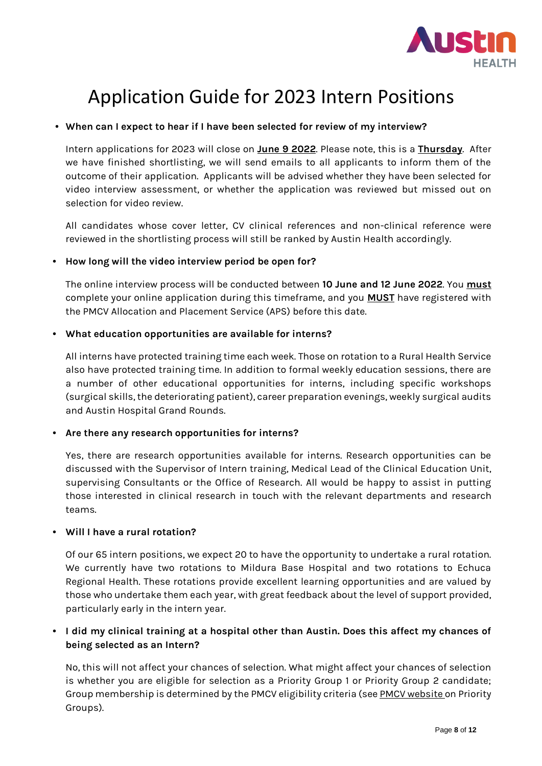

### **• When can I expect to hear if I have been selected for review of my interview?**

Intern applications for 2023 will close on **June 9 2022**. Please note, this is a **Thursday**. After we have finished shortlisting, we will send emails to all applicants to inform them of the outcome of their application. Applicants will be advised whether they have been selected for video interview assessment, or whether the application was reviewed but missed out on selection for video review.

All candidates whose cover letter, CV clinical references and non-clinical reference were reviewed in the shortlisting process will still be ranked by Austin Health accordingly.

#### **• How long will the video interview period be open for?**

The online interview process will be conducted between **10 June and 12 June 2022**. You **must** complete your online application during this timeframe, and you **MUST** have registered with the PMCV Allocation and Placement Service (APS) before this date.

### **• What education opportunities are available for interns?**

All interns have protected training time each week. Those on rotation to a Rural Health Service also have protected training time. In addition to formal weekly education sessions, there are a number of other educational opportunities for interns, including specific workshops (surgical skills, the deteriorating patient), career preparation evenings, weekly surgical audits and Austin Hospital Grand Rounds.

### **• Are there any research opportunities for interns?**

Yes, there are research opportunities available for interns. Research opportunities can be discussed with the Supervisor of Intern training, Medical Lead of the Clinical Education Unit, supervising Consultants or the Office of Research. All would be happy to assist in putting those interested in clinical research in touch with the relevant departments and research teams.

#### **• Will I have a rural rotation?**

Of our 65 intern positions, we expect 20 to have the opportunity to undertake a rural rotation. We currently have two rotations to Mildura Base Hospital and two rotations to Echuca Regional Health. These rotations provide excellent learning opportunities and are valued by those who undertake them each year, with great feedback about the level of support provided, particularly early in the intern year.

### **• I did my clinical training at a hospital other than Austin. Does this affect my chances of being selected as an Intern?**

No, this will not affect your chances of selection. What might affect your chances of selection is whether you are eligible for selection as a Priority Group 1 or Priority Group 2 candidate; Group membership is determined by the PMCV eligibility criteria (se[e PMCV website](https://www.pmcv.com.au/intern-match-2022/#prioritygroups) on Priority Groups).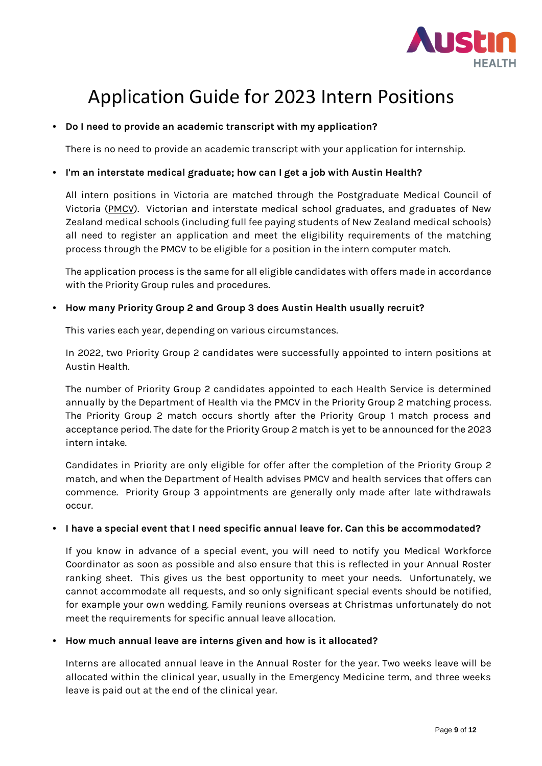

### **• Do I need to provide an academic transcript with my application?**

There is no need to provide an academic transcript with your application for internship.

### **• I'm an interstate medical graduate; how can I get a job with Austin Health?**

All intern positions in Victoria are matched through the Postgraduate Medical Council of Victoria [\(PMCV\)](https://allocations.pmcv.com.au/home). Victorian and interstate medical school graduates, and graduates of New Zealand medical schools (including full fee paying students of New Zealand medical schools) all need to register an application and meet the eligibility requirements of the matching process through the PMCV to be eligible for a position in the intern computer match.

The application process is the same for all eligible candidates with offers made in accordance with the Priority Group rules and procedures.

### **• How many Priority Group 2 and Group 3 does Austin Health usually recruit?**

This varies each year, depending on various circumstances.

In 2022, two Priority Group 2 candidates were successfully appointed to intern positions at Austin Health.

The number of Priority Group 2 candidates appointed to each Health Service is determined annually by the Department of Health via the PMCV in the Priority Group 2 matching process. The Priority Group 2 match occurs shortly after the Priority Group 1 match process and acceptance period. The date for the Priority Group 2 match is yet to be announced for the 2023 intern intake.

Candidates in Priority are only eligible for offer after the completion of the Priority Group 2 match, and when the Department of Health advises PMCV and health services that offers can commence. Priority Group 3 appointments are generally only made after late withdrawals occur.

#### **• I have a special event that I need specific annual leave for. Can this be accommodated?**

If you know in advance of a special event, you will need to notify you Medical Workforce Coordinator as soon as possible and also ensure that this is reflected in your Annual Roster ranking sheet. This gives us the best opportunity to meet your needs. Unfortunately, we cannot accommodate all requests, and so only significant special events should be notified, for example your own wedding. Family reunions overseas at Christmas unfortunately do not meet the requirements for specific annual leave allocation.

#### **• How much annual leave are interns given and how is it allocated?**

Interns are allocated annual leave in the Annual Roster for the year. Two weeks leave will be allocated within the clinical year, usually in the Emergency Medicine term, and three weeks leave is paid out at the end of the clinical year.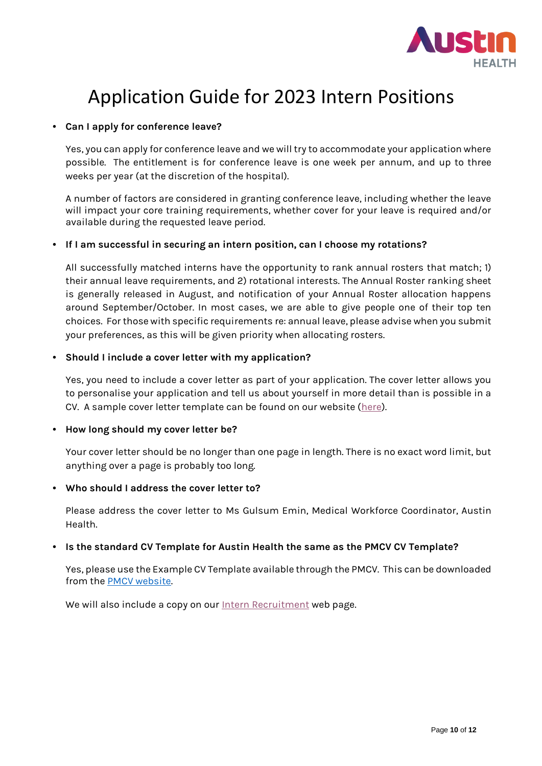

### **• Can I apply for conference leave?**

Yes, you can apply for conference leave and we will try to accommodate your application where possible. The entitlement is for conference leave is one week per annum, and up to three weeks per year (at the discretion of the hospital).

A number of factors are considered in granting conference leave, including whether the leave will impact your core training requirements, whether cover for your leave is required and/or available during the requested leave period.

### **• If I am successful in securing an intern position, can I choose my rotations?**

All successfully matched interns have the opportunity to rank annual rosters that match; 1) their annual leave requirements, and 2) rotational interests. The Annual Roster ranking sheet is generally released in August, and notification of your Annual Roster allocation happens around September/October. In most cases, we are able to give people one of their top ten choices. For those with specific requirements re: annual leave, please advise when you submit your preferences, as this will be given priority when allocating rosters.

### **• Should I include a cover letter with my application?**

Yes, you need to include a cover letter as part of your application. The cover letter allows you to personalise your application and tell us about yourself in more detail than is possible in a CV. A sample cover letter template can be found on our website [\(here\)](https://www.austin.org.au/Assets/Files/Cover%20letter%20example.docx).

#### **• How long should my cover letter be?**

Your cover letter should be no longer than one page in length. There is no exact word limit, but anything over a page is probably too long.

#### **• Who should I address the cover letter to?**

Please address the cover letter to Ms Gulsum Emin, Medical Workforce Coordinator, Austin Health.

#### **• Is the standard CV Template for Austin Health the same as the PMCV CV Template?**

Yes, please use the Example CV Template available through the PMCV. This can be downloaded from the [PMCV website.](https://www.pmcv.com.au/intern-match-2022/)

We will also include a copy on ou[r Intern Recruitment](https://www.austin.org.au/careers/interns/) web page.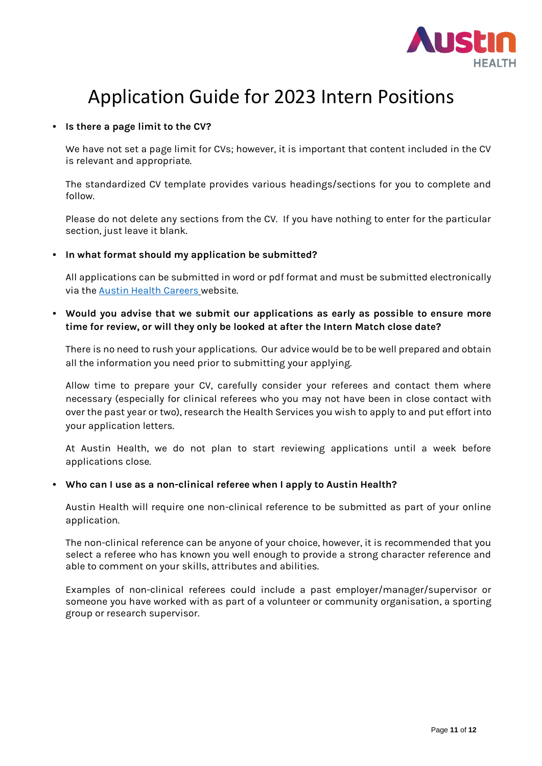

### **• Is there a page limit to the CV?**

We have not set a page limit for CVs; however, it is important that content included in the CV is relevant and appropriate.

The standardized CV template provides various headings/sections for you to complete and follow.

Please do not delete any sections from the CV. If you have nothing to enter for the particular section, just leave it blank.

**• In what format should my application be submitted?**

All applications can be submitted in word or pdf format and must be submitted electronically via the [Austin Health Careers](https://www.austin.org.au/careers/junior-medical/) website.

**• Would you advise that we submit our applications as early as possible to ensure more time for review, or will they only be looked at after the Intern Match close date?**

There is no need to rush your applications. Our advice would be to be well prepared and obtain all the information you need prior to submitting your applying.

Allow time to prepare your CV, carefully consider your referees and contact them where necessary (especially for clinical referees who you may not have been in close contact with over the past year or two), research the Health Services you wish to apply to and put effort into your application letters.

At Austin Health, we do not plan to start reviewing applications until a week before applications close.

#### **• Who can I use as a non-clinical referee when I apply to Austin Health?**

Austin Health will require one non-clinical reference to be submitted as part of your online application.

The non-clinical reference can be anyone of your choice, however, it is recommended that you select a referee who has known you well enough to provide a strong character reference and able to comment on your skills, attributes and abilities.

Examples of non-clinical referees could include a past employer/manager/supervisor or someone you have worked with as part of a volunteer or community organisation, a sporting group or research supervisor.